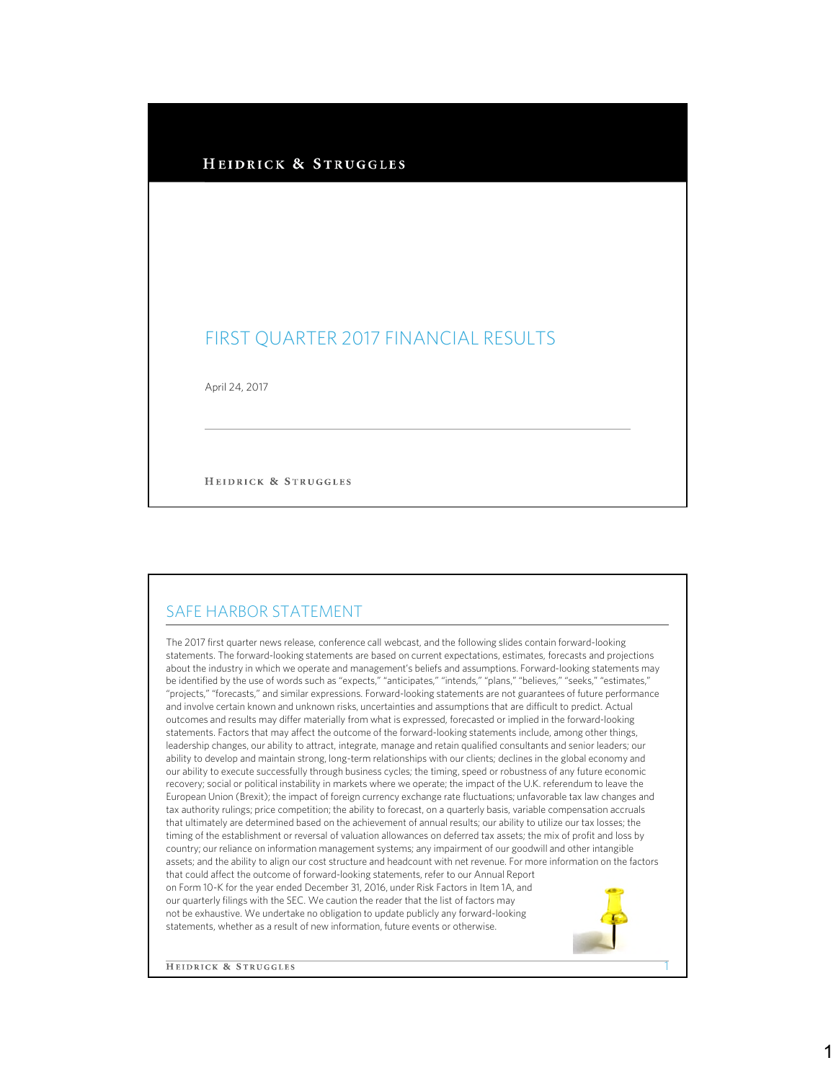## HEIDRICK & STRUGGLES

## FIRST QUARTER 2017 FINANCIAL RESULTS

April 24, 2017

HEIDRICK & STRUGGLES

## SAFE HARBOR STATEMENT

The 2017 first quarter news release, conference call webcast, and the following slides contain forward-looking statements. The forward-looking statements are based on current expectations, estimates, forecasts and projections about the industry in which we operate and management's beliefs and assumptions. Forward-looking statements may be identified by the use of words such as "expects," "anticipates," "intends," "plans," "believes," "seeks," "estimates," "projects," "forecasts," and similar expressions. Forward-looking statements are not guarantees of future performance and involve certain known and unknown risks, uncertainties and assumptions that are difficult to predict. Actual outcomes and results may differ materially from what is expressed, forecasted or implied in the forward-looking statements. Factors that may affect the outcome of the forward-looking statements include, among other things, leadership changes, our ability to attract, integrate, manage and retain qualified consultants and senior leaders; our ability to develop and maintain strong, long-term relationships with our clients; declines in the global economy and our ability to execute successfully through business cycles; the timing, speed or robustness of any future economic recovery; social or political instability in markets where we operate; the impact of the U.K. referendum to leave the European Union (Brexit); the impact of foreign currency exchange rate fluctuations; unfavorable tax law changes and tax authority rulings; price competition; the ability to forecast, on a quarterly basis, variable compensation accruals that ultimately are determined based on the achievement of annual results; our ability to utilize our tax losses; the timing of the establishment or reversal of valuation allowances on deferred tax assets; the mix of profit and loss by country; our reliance on information management systems; any impairment of our goodwill and other intangible assets; and the ability to align our cost structure and headcount with net revenue. For more information on the factors that could affect the outcome of forward-looking statements, refer to our Annual Report on Form 10-K for the year ended December 31, 2016, under Risk Factors in Item 1A, and our quarterly filings with the SEC. We caution the reader that the list of factors may not be exhaustive. We undertake no obligation to update publicly any forward-looking statements, whether as a result of new information, future events or otherwise.

**HEIDRICK & STRUGGLES** 

1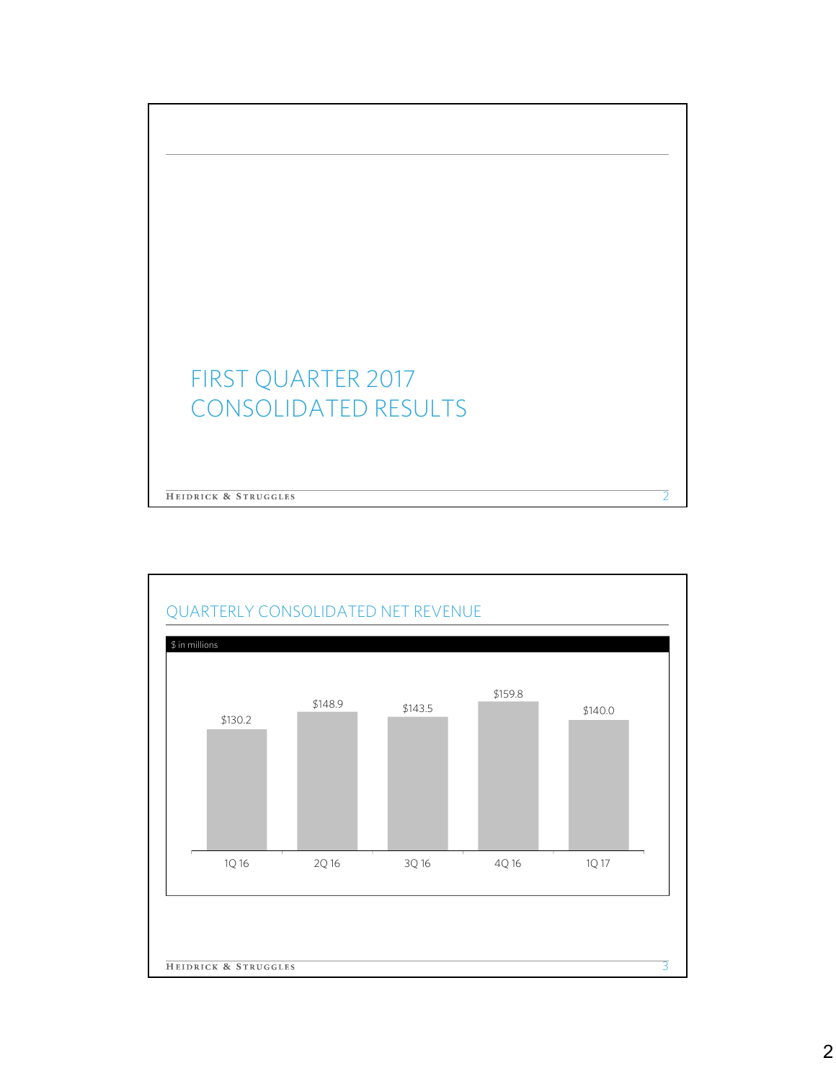

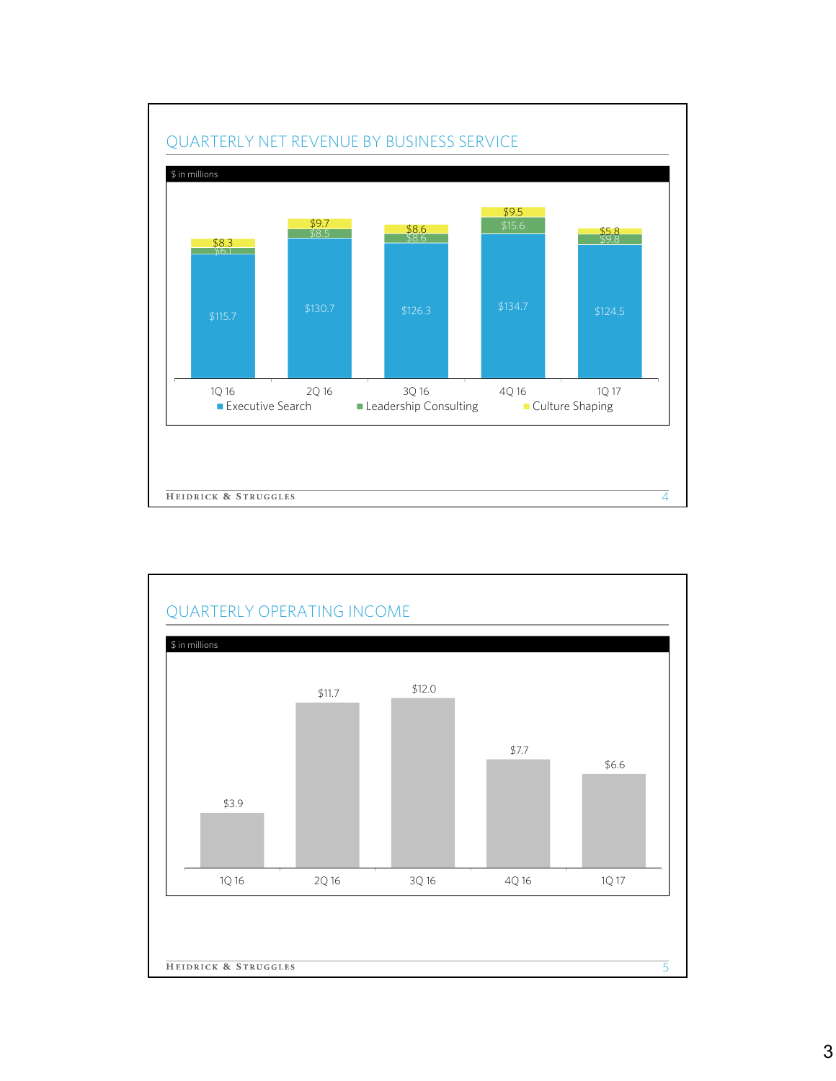

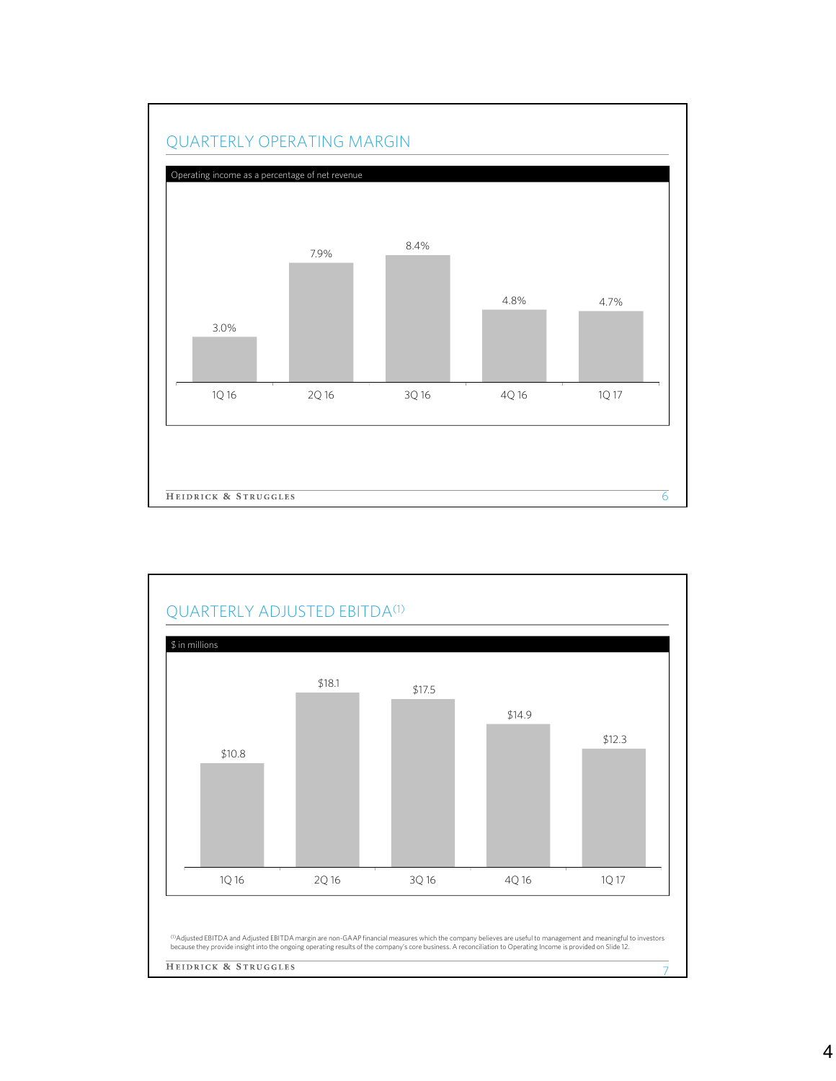

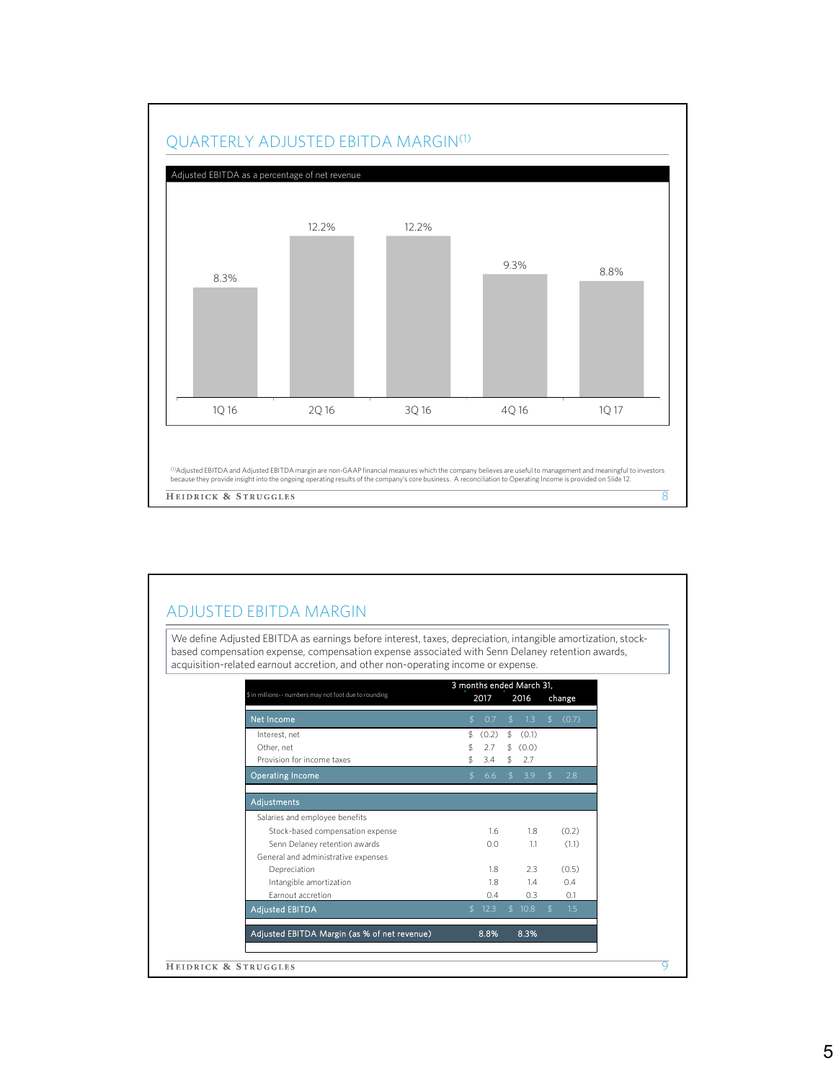

## ADJUSTED EBITDA MARGIN

We define Adjusted EBITDA as earnings before interest, taxes, depreciation, intangible amortization, stockbased compensation expense, compensation expense associated with Senn Delaney retention awards, acquisition-related earnout accretion, and other non-operating income or expense.

| \$ in millions -- numbers may not foot due to rounding | 3 months ended March 31, |       |                |          |                |        |  |
|--------------------------------------------------------|--------------------------|-------|----------------|----------|----------------|--------|--|
|                                                        |                          | 2017  |                | 2016     |                | change |  |
| Net Income                                             | \$                       | 0.7   | $\mathfrak{L}$ | 1.3      | $\mathfrak{L}$ | (0.7)  |  |
| Interest, net                                          | \$                       | (0.2) | \$             | (0.1)    |                |        |  |
| Other, net                                             | \$                       | 2.7   |                | \$ (0.0) |                |        |  |
| Provision for income taxes                             | \$                       | 3.4   | \$             | 2.7      |                |        |  |
| Operating Income                                       | \$.                      | 6.6   | $\mathfrak{L}$ | $-3.9$   | $\mathfrak{F}$ | 28     |  |
| <b>Adjustments</b>                                     |                          |       |                |          |                |        |  |
| Salaries and employee benefits                         |                          |       |                |          |                |        |  |
| Stock-based compensation expense                       |                          | 1.6   |                | 1.8      |                | (0.2)  |  |
| Senn Delaney retention awards                          |                          | 0.0   |                | 1.1      |                | (1.1)  |  |
| General and administrative expenses                    |                          |       |                |          |                |        |  |
| Depreciation                                           |                          | 1.8   |                | 2.3      |                | (0.5)  |  |
| Intangible amortization                                |                          | 1.8   |                | 1.4      |                | 0.4    |  |
| Earnout accretion                                      |                          | 0.4   |                | 0.3      |                | 0.1    |  |
| <b>Adjusted EBITDA</b>                                 | \$                       | 12.3  |                | \$10.8   | $\mathcal{L}$  | 1.5    |  |
| Adjusted EBITDA Margin (as % of net revenue)           |                          | 8.8%  |                | 8.3%     |                |        |  |
|                                                        |                          |       |                |          |                |        |  |
| HEIDRICK & STRUGGLES                                   |                          |       |                |          |                |        |  |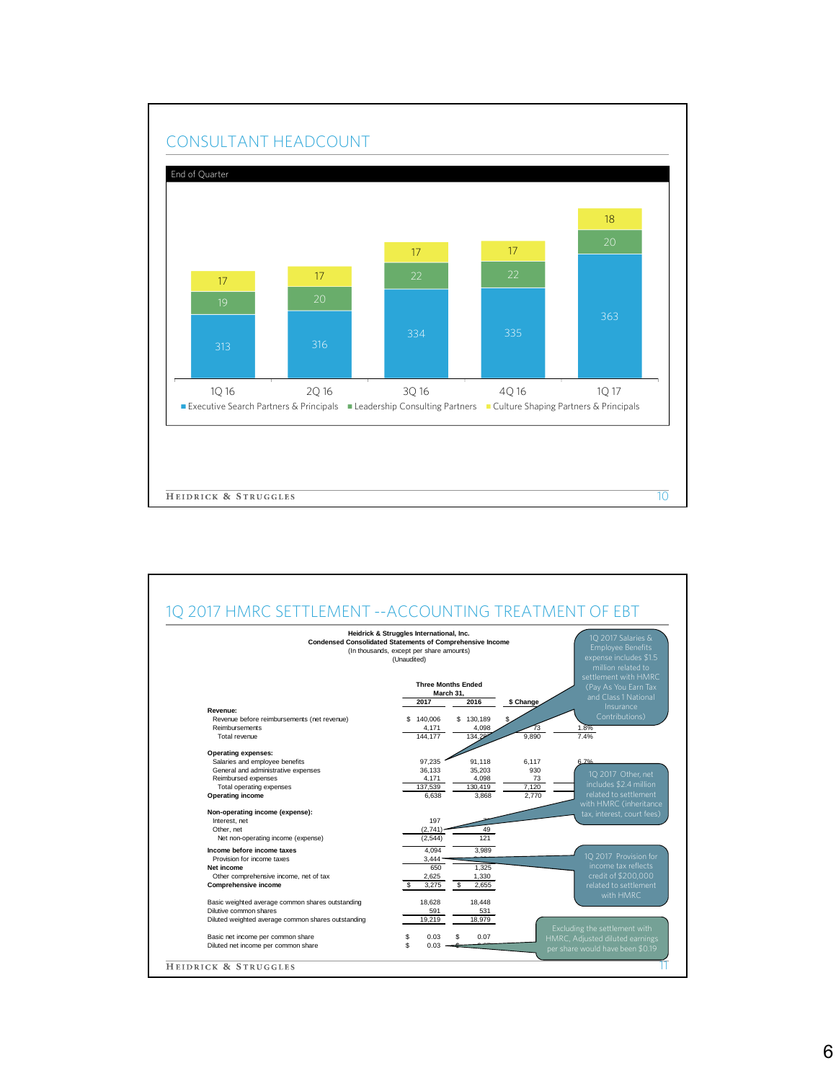

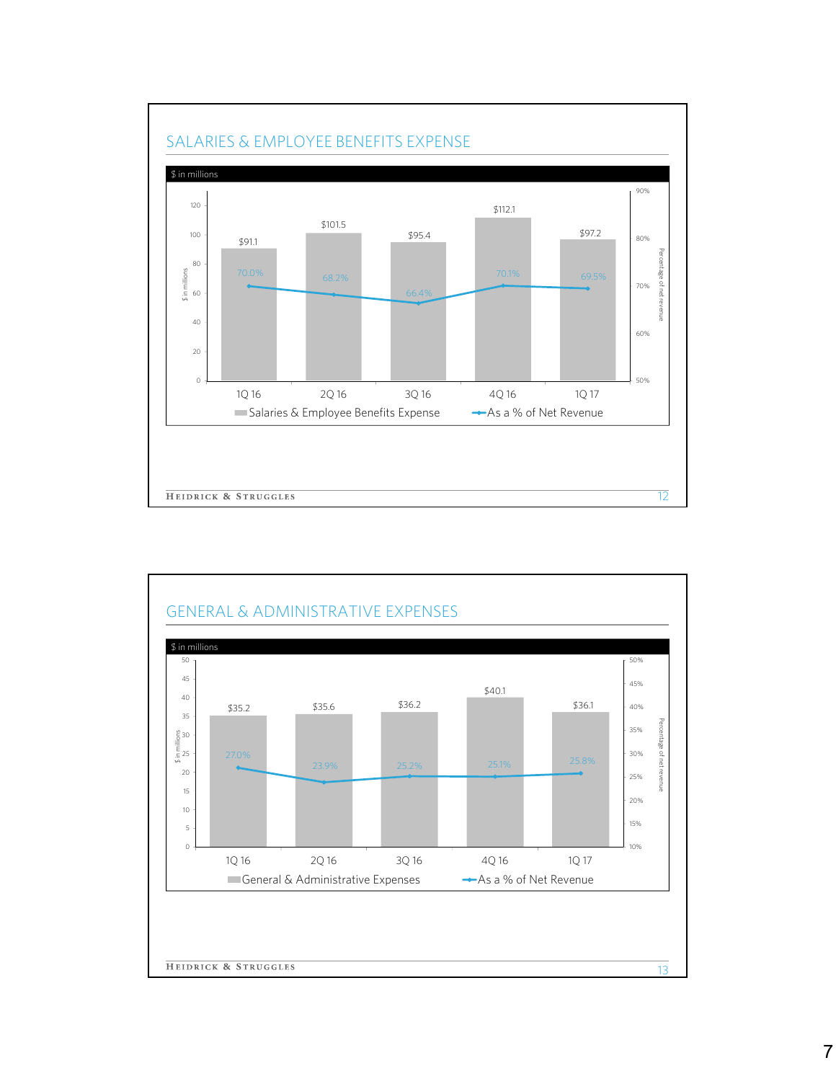



7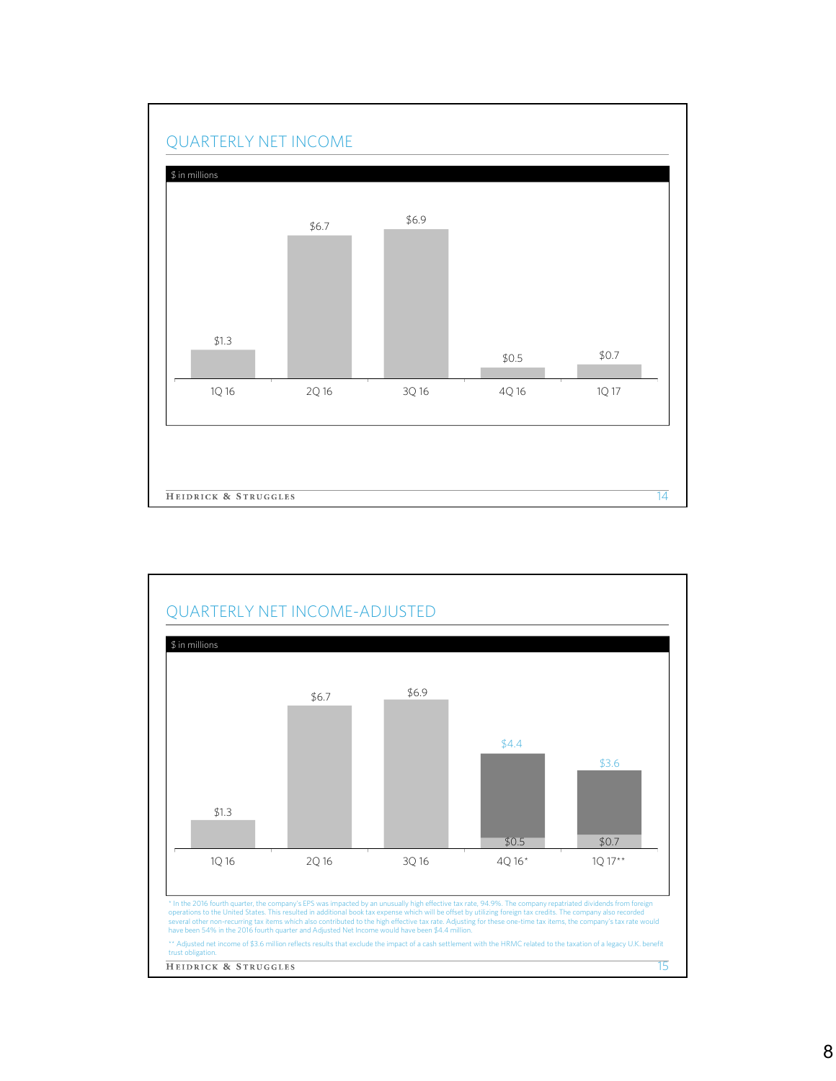

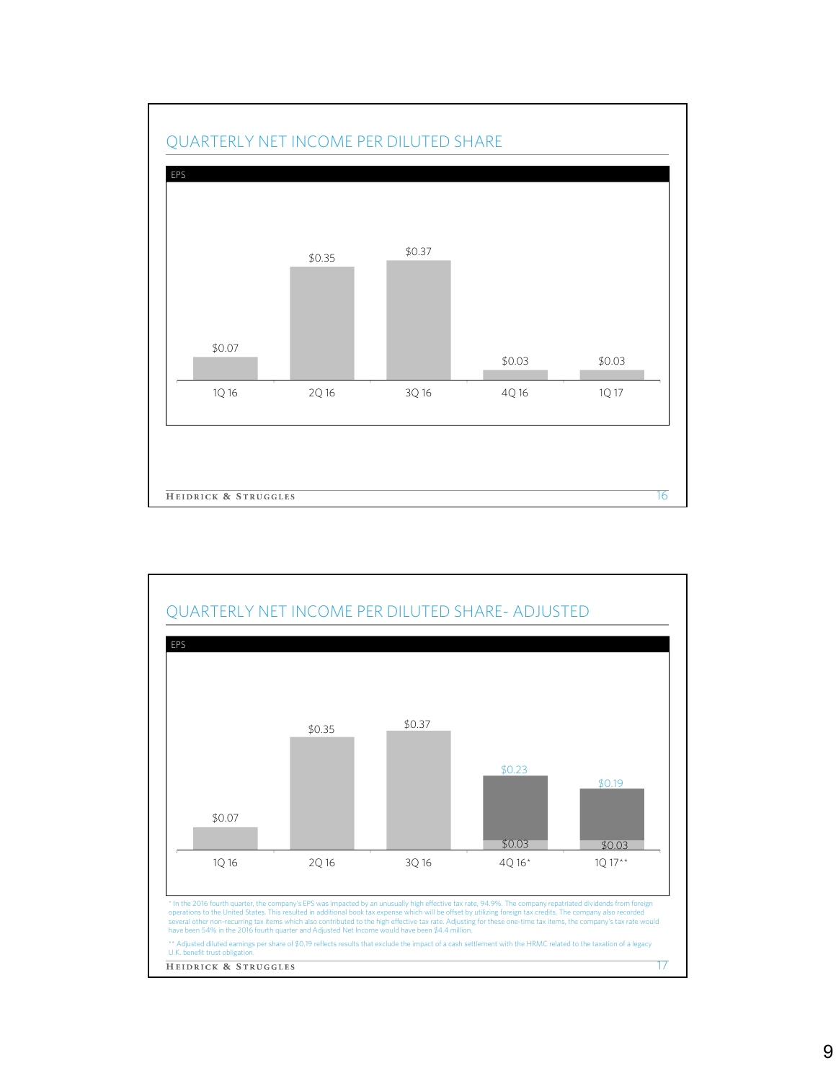

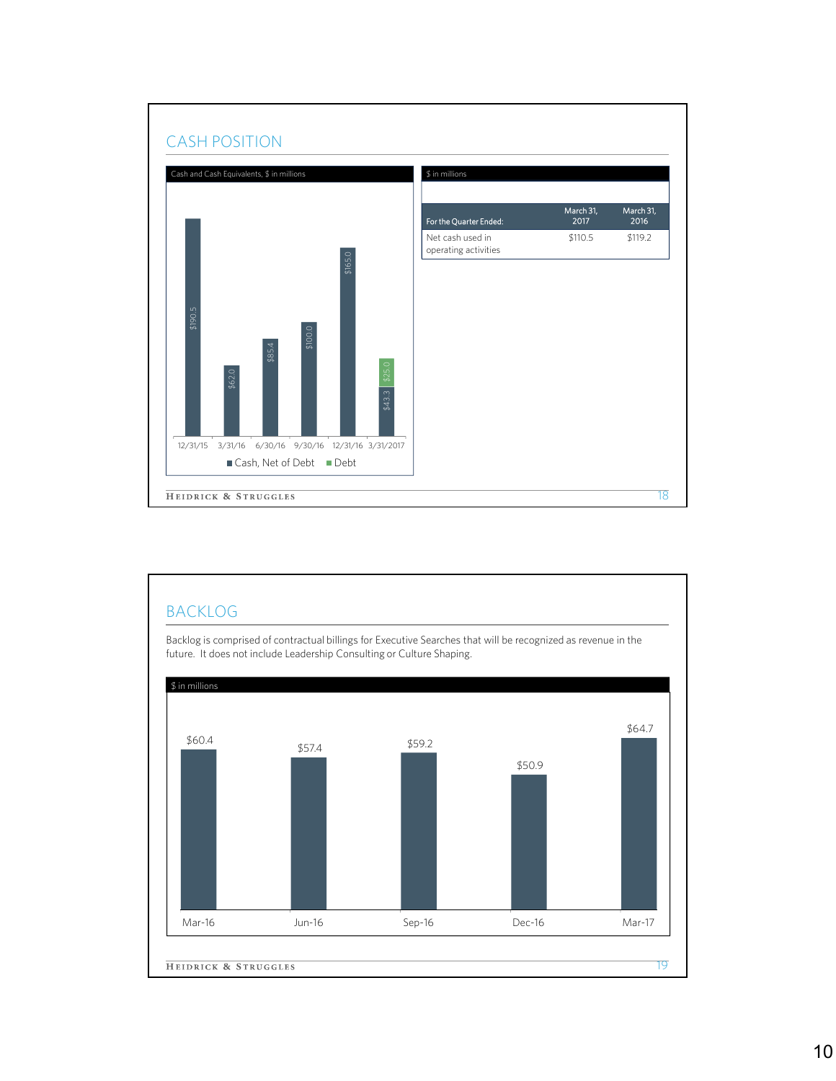

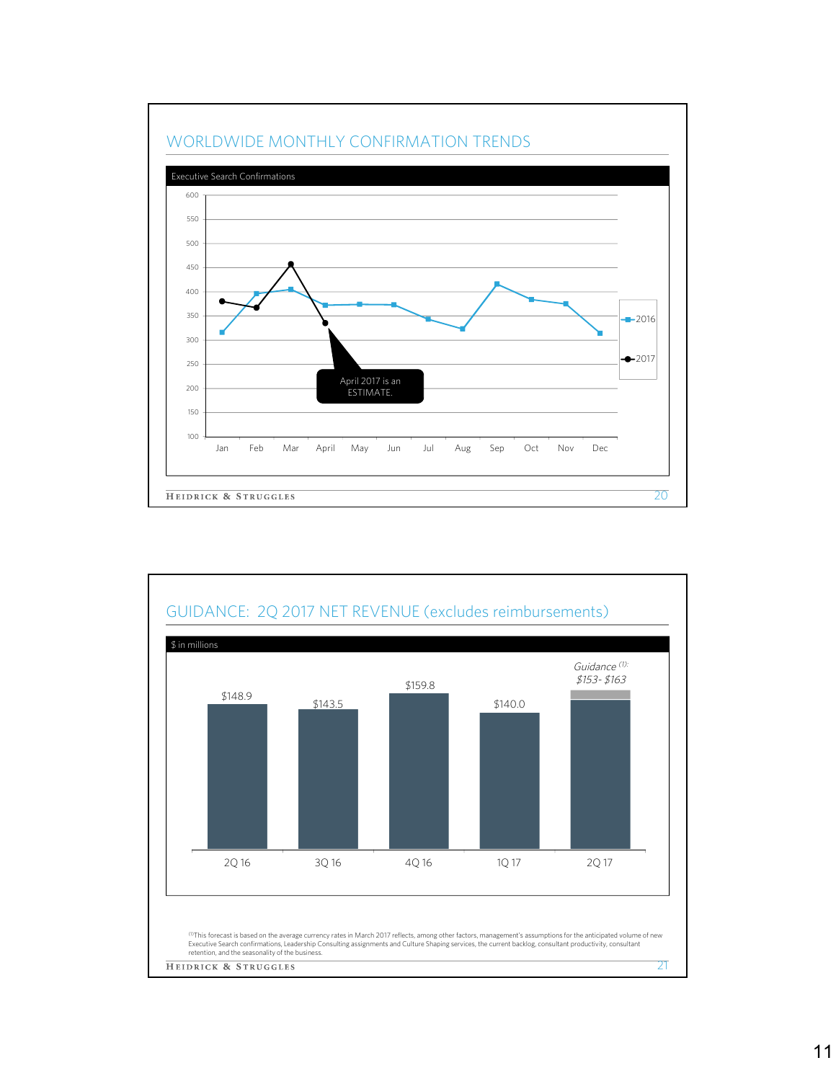

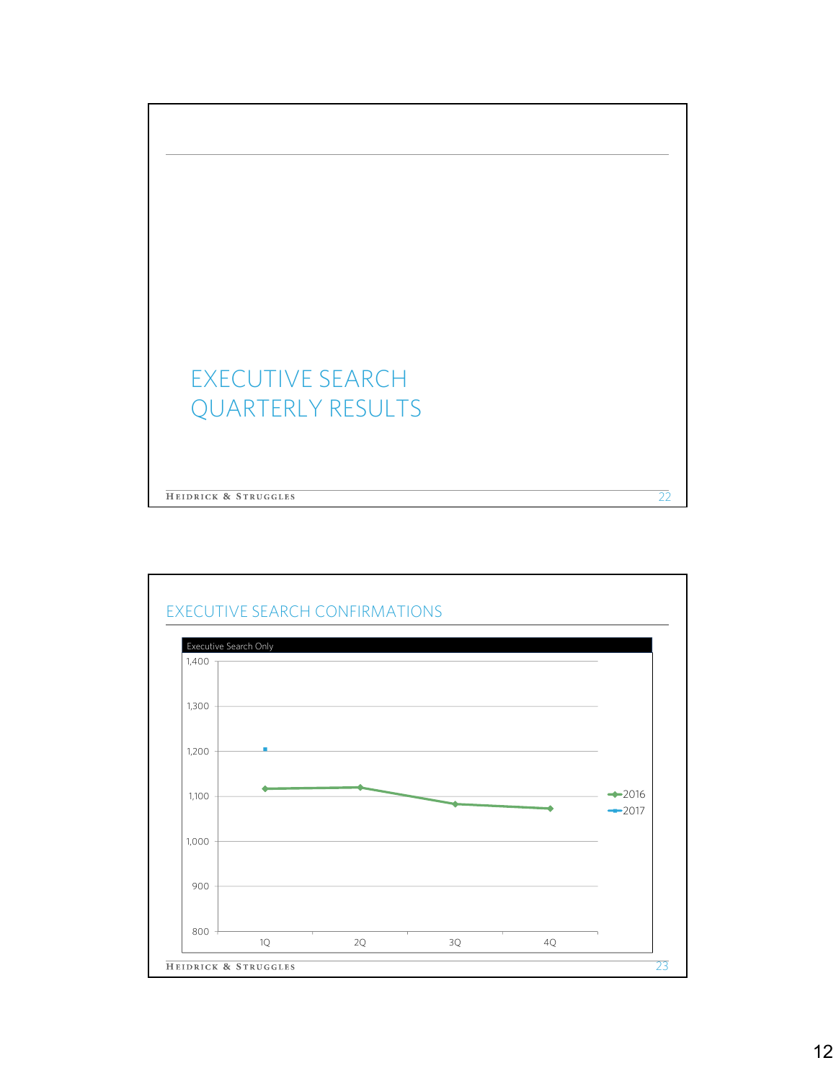

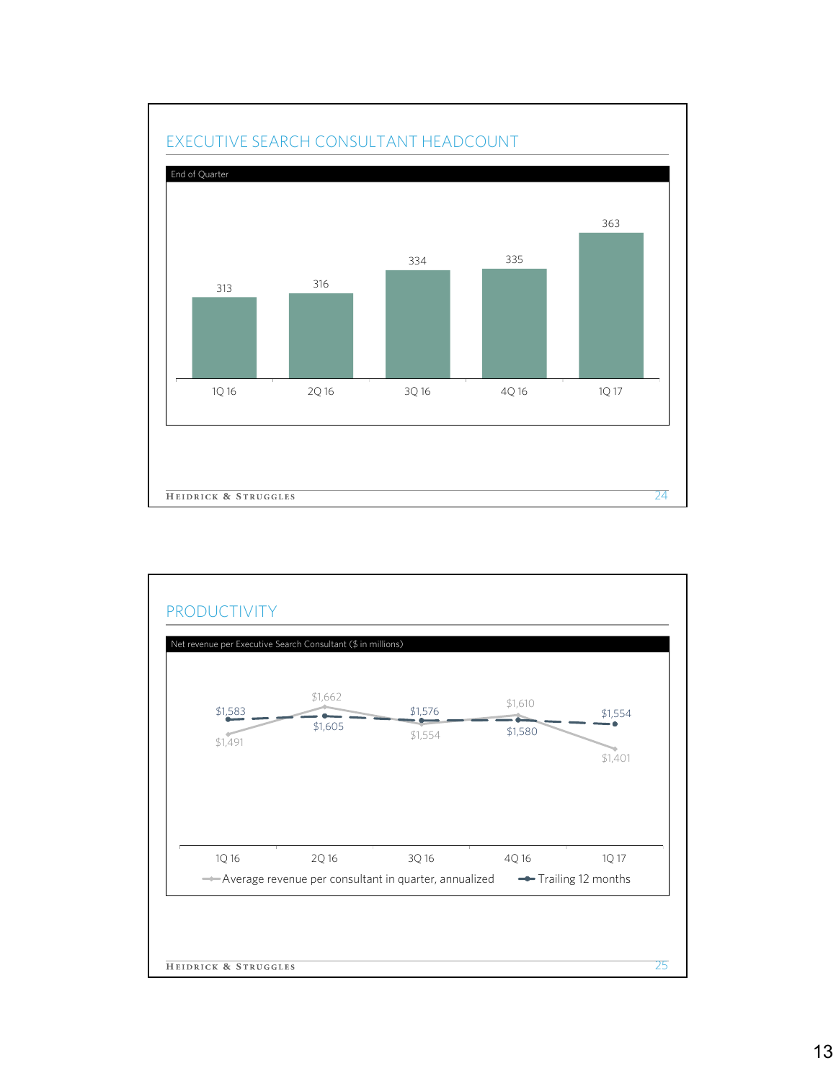

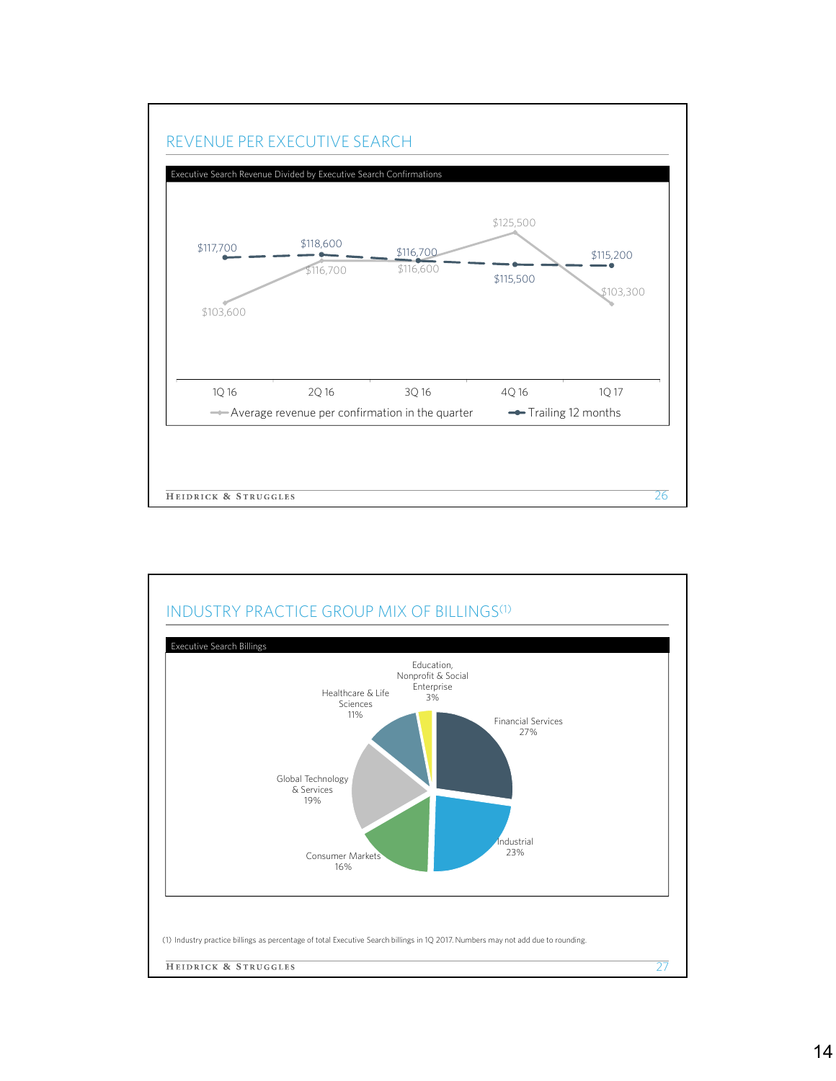